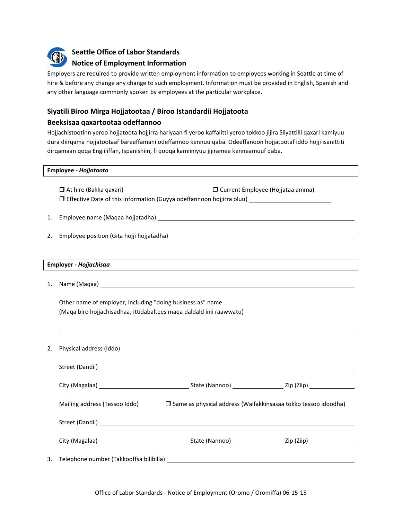

**Seattle Office of Labor Standards**

# **Notice of Employment Information**

Employers are required to provide written employment information to employees working in Seattle at time of hire & before any change any change to such employment. Information must be provided in English, Spanish and any other language commonly spoken by employees at the particular workplace.

# **Siyatili Biroo Mirga Hojjatootaa / Biroo Istandardii Hojjatoota**

## **Beeksisaa qaxartootaa odeffannoo**

Hojjachistootinn yeroo hojjatoota hojjirra hariyaan fi yeroo kaffalitti yeroo tokkoo jijira Siiyattilli qaxari kamiyuu dura diirqama hojjatootaaf bareeffamani odeffannoo kennuu qaba. Odeeffanoon hojjatootaf iddo hojji isanittiti dirqamaan qoqa Engiiliffan, Ispanishiin, fi qooqa kamiiniyuu jijiramee kenneamuuf qaba.

#### **Employee -** *Hojjatoota*

 At hire (Bakka qaxari) Current Employee (Hojjataa amma) Effective Date of this information (Guyya odeffannoon hojjirra oluu)

- 1. Employee name (Maqaa hojjatadha)
- 2. Employee position (Gita hojji hojjatadha)

### **Employer -** *Hojjachisaa*

1. Name (Maqaa)

Other name of employer, including "doing business as" name (Maqa biro hojjachisadhaa, ittidabaltees maqa daldald inii raawwatu)

2. Physical address (Iddo)

| Mailing address (Tessoo Iddo) | □ Same as physical address (Walfakkinsasaa tokko tessoo idoodha)                 |  |  |
|-------------------------------|----------------------------------------------------------------------------------|--|--|
|                               |                                                                                  |  |  |
|                               |                                                                                  |  |  |
|                               | 3.     Telephone number (Takkooffsa bilibilla) _________________________________ |  |  |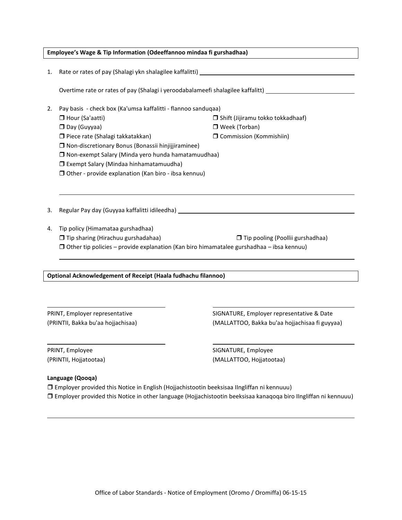| Employee's Wage & Tip Information (Odeeffannoo mindaa fi gurshadhaa) |                                                                                                     |                                           |  |  |
|----------------------------------------------------------------------|-----------------------------------------------------------------------------------------------------|-------------------------------------------|--|--|
|                                                                      |                                                                                                     |                                           |  |  |
| 1.                                                                   |                                                                                                     |                                           |  |  |
|                                                                      |                                                                                                     |                                           |  |  |
|                                                                      | Overtime rate or rates of pay (Shalagi i yeroodabalameefi shalagilee kaffalitt) ___________________ |                                           |  |  |
| 2.                                                                   | Pay basis - check box (Ka'umsa kaffalitti - flannoo sanduqaa)                                       |                                           |  |  |
|                                                                      | Hour (Sa'aatti)                                                                                     | $\Box$ Shift (Jijiramu tokko tokkadhaaf)  |  |  |
|                                                                      | Day (Guyyaa)                                                                                        | □ Week (Torban)                           |  |  |
|                                                                      | □ Piece rate (Shalagi takkatakkan)                                                                  | □ Commission (Kommishiin)                 |  |  |
|                                                                      | □ Non-discretionary Bonus (Bonassii hinjijjiraminee)                                                |                                           |  |  |
|                                                                      | □ Non-exempt Salary (Minda yero hunda hamatamuudhaa)                                                |                                           |  |  |
|                                                                      | □ Exempt Salary (Mindaa hinhamatamuudha)                                                            |                                           |  |  |
|                                                                      | □ Other - provide explanation (Kan biro - ibsa kennuu)                                              |                                           |  |  |
|                                                                      |                                                                                                     |                                           |  |  |
|                                                                      |                                                                                                     |                                           |  |  |
|                                                                      |                                                                                                     |                                           |  |  |
| 3.                                                                   | Regular Pay day (Guyyaa kaffalitti idileedha) ___________________________________                   |                                           |  |  |
| 4.                                                                   | Tip policy (Himamataa gurshadhaa)                                                                   |                                           |  |  |
|                                                                      | □ Tip sharing (Hirachuu gurshadahaa)                                                                | □ Tip pooling (Poollii gurshadhaa)        |  |  |
|                                                                      | $\Box$ Other tip policies – provide explanation (Kan biro himamatalee gurshadhaa – ibsa kennuu)     |                                           |  |  |
|                                                                      |                                                                                                     |                                           |  |  |
|                                                                      |                                                                                                     |                                           |  |  |
| <b>Optional Acknowledgement of Receipt (Haala fudhachu filannoo)</b> |                                                                                                     |                                           |  |  |
|                                                                      |                                                                                                     |                                           |  |  |
|                                                                      |                                                                                                     |                                           |  |  |
|                                                                      |                                                                                                     |                                           |  |  |
| PRINT, Employer representative                                       |                                                                                                     | SIGNATURE, Employer representative & Date |  |  |

(PRINTII, Bakka bu'aa hojjachisaa) (MALLATTOO, Bakka bu'aa hojjachisaa fi guyyaa)

PRINT, Employee and the state of the SIGNATURE, Employee (PRINTII, Hojjatootaa) (MALLATTOO, Hojjatootaa)

## **Language (Qooqa)**

 Employer provided this Notice in English (Hojjachistootin beeksisaa IIngliffan ni kennuuu) Employer provided this Notice in other language (Hojjachistootin beeksisaa kanaqoqa biro IIngliffan ni kennuuu)